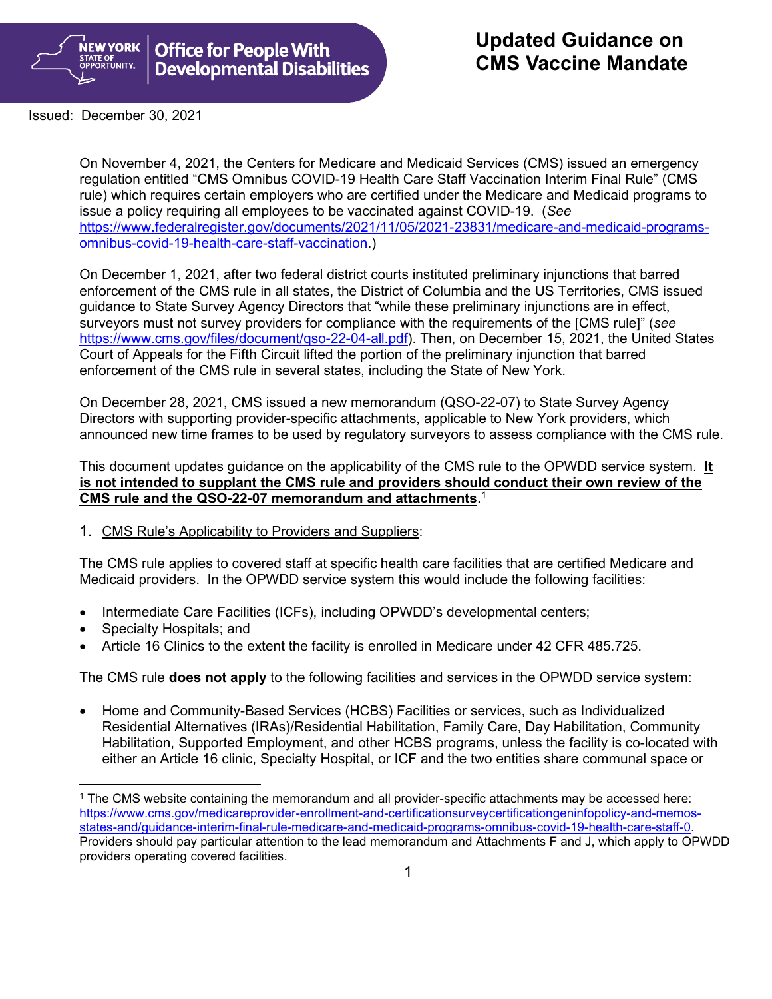

Issued: December 30, 2021

On November 4, 2021, the Centers for Medicare and Medicaid Services (CMS) issued an emergency regulation entitled "CMS Omnibus COVID-19 Health Care Staff Vaccination Interim Final Rule" (CMS rule) which requires certain employers who are certified under the Medicare and Medicaid programs to issue a policy requiring all employees to be vaccinated against COVID-19. (*See*  [https://www.federalregister.gov/documents/2021/11/05/2021-23831/medicare-and-medicaid-programs](https://www.federalregister.gov/documents/2021/11/05/2021-23831/medicare-and-medicaid-programs-omnibus-covid-19-health-care-staff-vaccination)[omnibus-covid-19-health-care-staff-vaccination.](https://www.federalregister.gov/documents/2021/11/05/2021-23831/medicare-and-medicaid-programs-omnibus-covid-19-health-care-staff-vaccination))

On December 1, 2021, after two federal district courts instituted preliminary injunctions that barred enforcement of the CMS rule in all states, the District of Columbia and the US Territories, CMS issued guidance to State Survey Agency Directors that "while these preliminary injunctions are in effect, surveyors must not survey providers for compliance with the requirements of the [CMS rule]" (*see*  https://www.cms.gov/files/document/gso-22-04-all.pdf). Then, on December 15, 2021, the United States Court of Appeals for the Fifth Circuit lifted the portion of the preliminary injunction that barred enforcement of the CMS rule in several states, including the State of New York.

On December 28, 2021, CMS issued a new memorandum (QSO-22-07) to State Survey Agency Directors with supporting provider-specific attachments, applicable to New York providers, which announced new time frames to be used by regulatory surveyors to assess compliance with the CMS rule.

This document updates guidance on the applicability of the CMS rule to the OPWDD service system. **It is not intended to supplant the CMS rule and providers should conduct their own review of the CMS rule and the QSO-22-07 memorandum and attachments**. [1](#page-0-0)

1. CMS Rule's Applicability to Providers and Suppliers:

The CMS rule applies to covered staff at specific health care facilities that are certified Medicare and Medicaid providers. In the OPWDD service system this would include the following facilities:

- Intermediate Care Facilities (ICFs), including OPWDD's developmental centers;
- Specialty Hospitals; and
- Article 16 Clinics to the extent the facility is enrolled in Medicare under 42 CFR 485.725.

The CMS rule **does not apply** to the following facilities and services in the OPWDD service system:

• Home and Community-Based Services (HCBS) Facilities or services, such as Individualized Residential Alternatives (IRAs)/Residential Habilitation, Family Care, Day Habilitation, Community Habilitation, Supported Employment, and other HCBS programs, unless the facility is co-located with either an Article 16 clinic, Specialty Hospital, or ICF and the two entities share communal space or

<span id="page-0-0"></span><sup>1</sup> The CMS website containing the memorandum and all provider-specific attachments may be accessed here: [https://www.cms.gov/medicareprovider-enrollment-and-certificationsurveycertificationgeninfopolicy-and-memos](https://www.cms.gov/medicareprovider-enrollment-and-certificationsurveycertificationgeninfopolicy-and-memos-states-and/guidance-interim-final-rule-medicare-and-medicaid-programs-omnibus-covid-19-health-care-staff-0)[states-and/guidance-interim-final-rule-medicare-and-medicaid-programs-omnibus-covid-19-health-care-staff-0.](https://www.cms.gov/medicareprovider-enrollment-and-certificationsurveycertificationgeninfopolicy-and-memos-states-and/guidance-interim-final-rule-medicare-and-medicaid-programs-omnibus-covid-19-health-care-staff-0) Providers should pay particular attention to the lead memorandum and Attachments F and J, which apply to OPWDD providers operating covered facilities.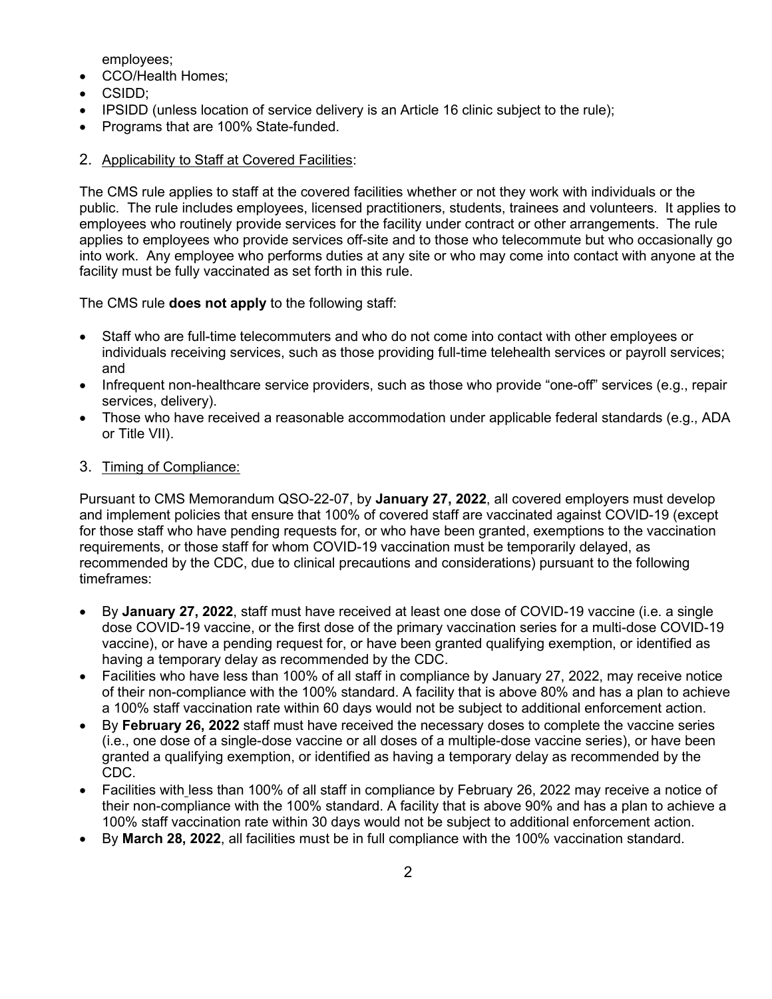employees;

- CCO/Health Homes;
- CSIDD;
- IPSIDD (unless location of service delivery is an Article 16 clinic subject to the rule);
- Programs that are 100% State-funded.

# 2. Applicability to Staff at Covered Facilities:

The CMS rule applies to staff at the covered facilities whether or not they work with individuals or the public. The rule includes employees, licensed practitioners, students, trainees and volunteers. It applies to employees who routinely provide services for the facility under contract or other arrangements. The rule applies to employees who provide services off-site and to those who telecommute but who occasionally go into work. Any employee who performs duties at any site or who may come into contact with anyone at the facility must be fully vaccinated as set forth in this rule.

The CMS rule **does not apply** to the following staff:

- Staff who are full-time telecommuters and who do not come into contact with other employees or individuals receiving services, such as those providing full-time telehealth services or payroll services; and
- Infrequent non-healthcare service providers, such as those who provide "one-off" services (e.g., repair services, delivery).
- Those who have received a reasonable accommodation under applicable federal standards (e.g., ADA or Title VII).

## 3. Timing of Compliance:

Pursuant to CMS Memorandum QSO-22-07, by **January 27, 2022**, all covered employers must develop and implement policies that ensure that 100% of covered staff are vaccinated against COVID-19 (except for those staff who have pending requests for, or who have been granted, exemptions to the vaccination requirements, or those staff for whom COVID-19 vaccination must be temporarily delayed, as recommended by the CDC, due to clinical precautions and considerations) pursuant to the following timeframes:

- By **January 27, 2022**, staff must have received at least one dose of COVID-19 vaccine (i.e. a single dose COVID-19 vaccine, or the first dose of the primary vaccination series for a multi-dose COVID-19 vaccine), or have a pending request for, or have been granted qualifying exemption, or identified as having a temporary delay as recommended by the CDC.
- Facilities who have less than 100% of all staff in compliance by January 27, 2022, may receive notice of their non-compliance with the 100% standard. A facility that is above 80% and has a plan to achieve a 100% staff vaccination rate within 60 days would not be subject to additional enforcement action.
- By **February 26, 2022** staff must have received the necessary doses to complete the vaccine series (i.e., one dose of a single-dose vaccine or all doses of a multiple-dose vaccine series), or have been granted a qualifying exemption, or identified as having a temporary delay as recommended by the CDC.
- Facilities with less than 100% of all staff in compliance by February 26, 2022 may receive a notice of their non-compliance with the 100% standard. A facility that is above 90% and has a plan to achieve a 100% staff vaccination rate within 30 days would not be subject to additional enforcement action.
- By **March 28, 2022**, all facilities must be in full compliance with the 100% vaccination standard.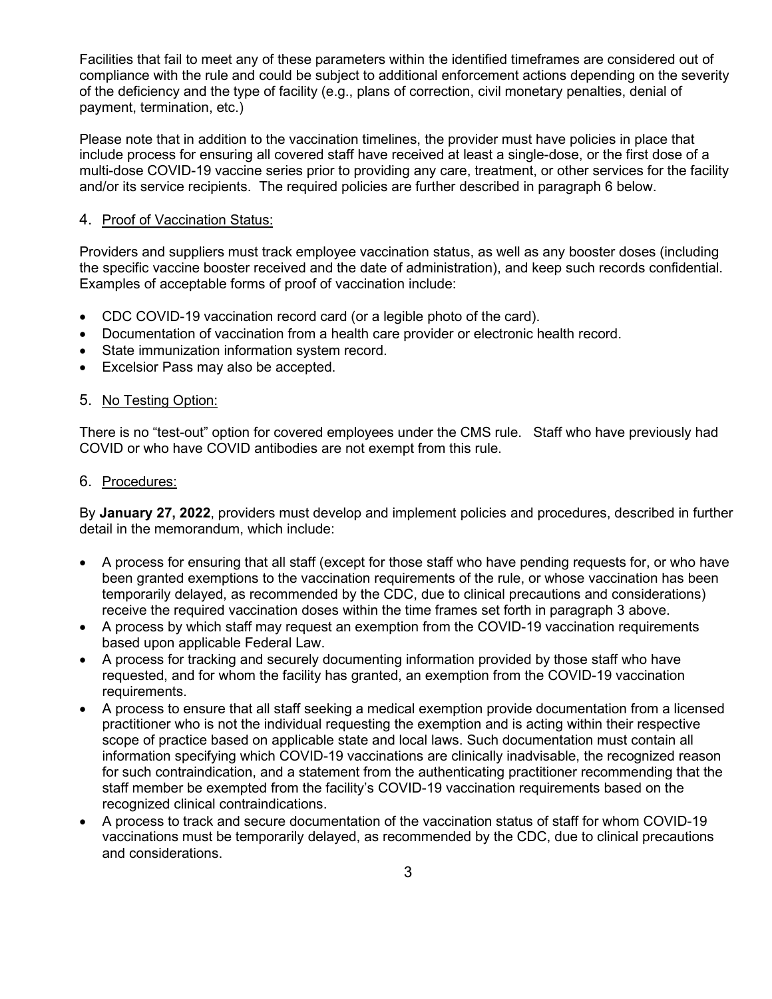Facilities that fail to meet any of these parameters within the identified timeframes are considered out of compliance with the rule and could be subject to additional enforcement actions depending on the severity of the deficiency and the type of facility (e.g., plans of correction, civil monetary penalties, denial of payment, termination, etc.)

Please note that in addition to the vaccination timelines, the provider must have policies in place that include process for ensuring all covered staff have received at least a single-dose, or the first dose of a multi-dose COVID-19 vaccine series prior to providing any care, treatment, or other services for the facility and/or its service recipients. The required policies are further described in paragraph 6 below.

## 4. Proof of Vaccination Status:

Providers and suppliers must track employee vaccination status, as well as any booster doses (including the specific vaccine booster received and the date of administration), and keep such records confidential. Examples of acceptable forms of proof of vaccination include:

- CDC COVID-19 vaccination record card (or a legible photo of the card).
- Documentation of vaccination from a health care provider or electronic health record.
- State immunization information system record.
- Excelsior Pass may also be accepted.

## 5. No Testing Option:

There is no "test-out" option for covered employees under the CMS rule. Staff who have previously had COVID or who have COVID antibodies are not exempt from this rule.

#### 6. Procedures:

By **January 27, 2022**, providers must develop and implement policies and procedures, described in further detail in the memorandum, which include:

- A process for ensuring that all staff (except for those staff who have pending requests for, or who have been granted exemptions to the vaccination requirements of the rule, or whose vaccination has been temporarily delayed, as recommended by the CDC, due to clinical precautions and considerations) receive the required vaccination doses within the time frames set forth in paragraph 3 above.
- A process by which staff may request an exemption from the COVID-19 vaccination requirements based upon applicable Federal Law.
- A process for tracking and securely documenting information provided by those staff who have requested, and for whom the facility has granted, an exemption from the COVID-19 vaccination requirements.
- A process to ensure that all staff seeking a medical exemption provide documentation from a licensed practitioner who is not the individual requesting the exemption and is acting within their respective scope of practice based on applicable state and local laws. Such documentation must contain all information specifying which COVID-19 vaccinations are clinically inadvisable, the recognized reason for such contraindication, and a statement from the authenticating practitioner recommending that the staff member be exempted from the facility's COVID-19 vaccination requirements based on the recognized clinical contraindications.
- A process to track and secure documentation of the vaccination status of staff for whom COVID-19 vaccinations must be temporarily delayed, as recommended by the CDC, due to clinical precautions and considerations.